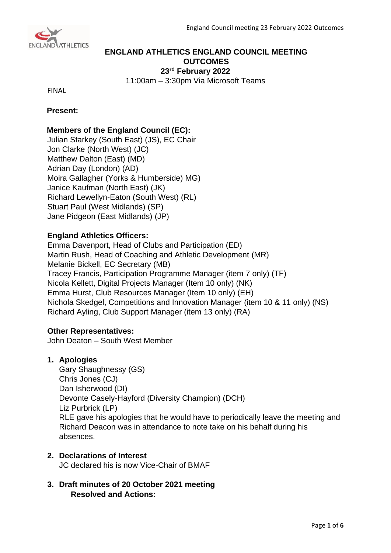

# **ENGLAND ATHLETICS ENGLAND COUNCIL MEETING OUTCOMES 23 rd February 2022**

11:00am – 3:30pm Via Microsoft Teams

FINAL

# **Present:**

# **Members of the England Council (EC):**

Julian Starkey (South East) (JS), EC Chair Jon Clarke (North West) (JC) Matthew Dalton (East) (MD) Adrian Day (London) (AD) Moira Gallagher (Yorks & Humberside) MG) Janice Kaufman (North East) (JK) Richard Lewellyn-Eaton (South West) (RL) Stuart Paul (West Midlands) (SP) Jane Pidgeon (East Midlands) (JP)

# **England Athletics Officers:**

Emma Davenport, Head of Clubs and Participation (ED) Martin Rush, Head of Coaching and Athletic Development (MR) Melanie Bickell, EC Secretary (MB) Tracey Francis, Participation Programme Manager (item 7 only) (TF) Nicola Kellett, Digital Projects Manager (Item 10 only) (NK) Emma Hurst, Club Resources Manager (Item 10 only) (EH) Nichola Skedgel, Competitions and Innovation Manager (item 10 & 11 only) (NS) Richard Ayling, Club Support Manager (item 13 only) (RA)

# **Other Representatives:**

John Deaton – South West Member

# **1. Apologies**

Gary Shaughnessy (GS) Chris Jones (CJ) Dan Isherwood (DI) Devonte Casely-Hayford (Diversity Champion) (DCH) Liz Purbrick (LP) RLE gave his apologies that he would have to periodically leave the meeting and Richard Deacon was in attendance to note take on his behalf during his absences.

# **2. Declarations of Interest**

JC declared his is now Vice-Chair of BMAF

**3. Draft minutes of 20 October 2021 meeting Resolved and Actions:**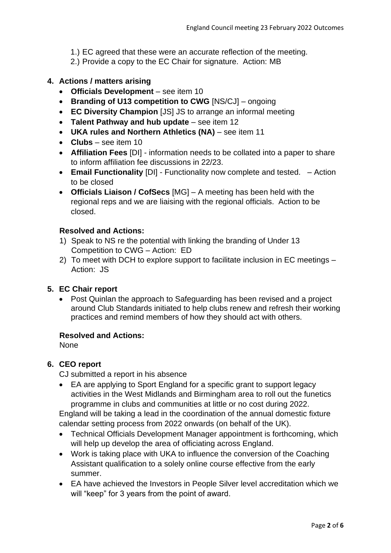- 1.) EC agreed that these were an accurate reflection of the meeting.
- 2.) Provide a copy to the EC Chair for signature. Action: MB

# **4. Actions / matters arising**

- **Officials Development** see item 10
- **Branding of U13 competition to CWG** [NS/CJ] ongoing
- **EC Diversity Champion** [JS] JS to arrange an informal meeting
- **Talent Pathway and hub update** see item 12
- **UKA rules and Northern Athletics (NA)** see item 11
- **Clubs** see item 10
- **Affiliation Fees** [DI] information needs to be collated into a paper to share to inform affiliation fee discussions in 22/23.
- **Email Functionality** [DI] Functionality now complete and tested. Action to be closed
- **Officials Liaison / CofSecs** [MG] A meeting has been held with the regional reps and we are liaising with the regional officials. Action to be closed.

## **Resolved and Actions:**

- 1) Speak to NS re the potential with linking the branding of Under 13 Competition to CWG – Action: ED
- 2) To meet with DCH to explore support to facilitate inclusion in EC meetings Action: JS

## **5. EC Chair report**

• Post Quinlan the approach to Safeguarding has been revised and a project around Club Standards initiated to help clubs renew and refresh their working practices and remind members of how they should act with others.

### **Resolved and Actions:**

None

## **6. CEO report**

CJ submitted a report in his absence

• EA are applying to Sport England for a specific grant to support legacy activities in the West Midlands and Birmingham area to roll out the funetics programme in clubs and communities at little or no cost during 2022.

England will be taking a lead in the coordination of the annual domestic fixture calendar setting process from 2022 onwards (on behalf of the UK).

- Technical Officials Development Manager appointment is forthcoming, which will help up develop the area of officiating across England.
- Work is taking place with UKA to influence the conversion of the Coaching Assistant qualification to a solely online course effective from the early summer.
- EA have achieved the Investors in People Silver level accreditation which we will "keep" for 3 years from the point of award.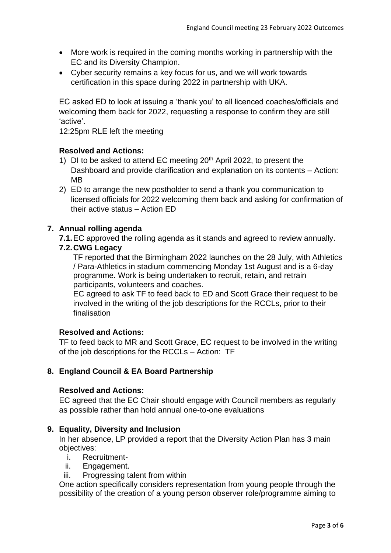- More work is required in the coming months working in partnership with the EC and its Diversity Champion.
- Cyber security remains a key focus for us, and we will work towards certification in this space during 2022 in partnership with UKA.

EC asked ED to look at issuing a 'thank you' to all licenced coaches/officials and welcoming them back for 2022, requesting a response to confirm they are still 'active'.

12:25pm RLE left the meeting

# **Resolved and Actions:**

- 1) DI to be asked to attend EC meeting  $20<sup>th</sup>$  April 2022, to present the Dashboard and provide clarification and explanation on its contents – Action: MB
- 2) ED to arrange the new postholder to send a thank you communication to licensed officials for 2022 welcoming them back and asking for confirmation of their active status – Action ED

# **7. Annual rolling agenda**

**7.1.**EC approved the rolling agenda as it stands and agreed to review annually.

## **7.2.CWG Legacy**

TF reported that the Birmingham 2022 launches on the 28 July, with Athletics / Para-Athletics in stadium commencing Monday 1st August and is a 6-day programme. Work is being undertaken to recruit, retain, and retrain participants, volunteers and coaches.

EC agreed to ask TF to feed back to ED and Scott Grace their request to be involved in the writing of the job descriptions for the RCCLs, prior to their finalisation

## **Resolved and Actions:**

TF to feed back to MR and Scott Grace, EC request to be involved in the writing of the job descriptions for the RCCLs – Action: TF

# **8. England Council & EA Board Partnership**

## **Resolved and Actions:**

EC agreed that the EC Chair should engage with Council members as regularly as possible rather than hold annual one-to-one evaluations

## **9. Equality, Diversity and Inclusion**

In her absence, LP provided a report that the Diversity Action Plan has 3 main objectives:

- i. Recruitment-
- ii. Engagement.
- iii. Progressing talent from within

One action specifically considers representation from young people through the possibility of the creation of a young person observer role/programme aiming to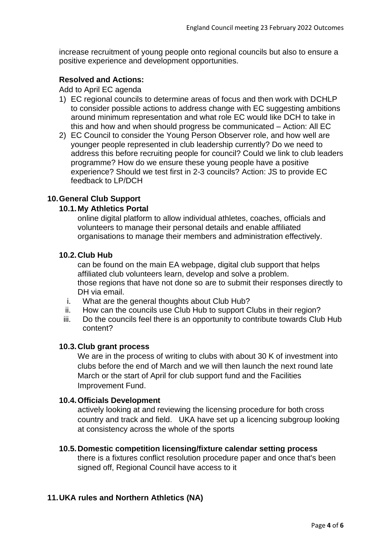increase recruitment of young people onto regional councils but also to ensure a positive experience and development opportunities.

# **Resolved and Actions:**

Add to April EC agenda

- 1) EC regional councils to determine areas of focus and then work with DCHLP to consider possible actions to address change with EC suggesting ambitions around minimum representation and what role EC would like DCH to take in this and how and when should progress be communicated – Action: All EC
- 2) EC Council to consider the Young Person Observer role, and how well are younger people represented in club leadership currently? Do we need to address this before recruiting people for council? Could we link to club leaders programme? How do we ensure these young people have a positive experience? Should we test first in 2-3 councils? Action: JS to provide EC feedback to LP/DCH

# **10.General Club Support**

## **10.1.My Athletics Portal**

online digital platform to allow individual athletes, coaches, officials and volunteers to manage their personal details and enable affiliated organisations to manage their members and administration effectively.

# **10.2.Club Hub**

can be found on the main EA webpage, digital club support that helps affiliated club volunteers learn, develop and solve a problem. those regions that have not done so are to submit their responses directly to DH via email.

- i. What are the general thoughts about Club Hub?
- ii. How can the councils use Club Hub to support Clubs in their region?
- iii. Do the councils feel there is an opportunity to contribute towards Club Hub content?

## **10.3.Club grant process**

We are in the process of writing to clubs with about 30 K of investment into clubs before the end of March and we will then launch the next round late March or the start of April for club support fund and the Facilities Improvement Fund.

## **10.4.Officials Development**

actively looking at and reviewing the licensing procedure for both cross country and track and field. UKA have set up a licencing subgroup looking at consistency across the whole of the sports

## **10.5.Domestic competition licensing/fixture calendar setting process**

there is a fixtures conflict resolution procedure paper and once that's been signed off, Regional Council have access to it

# **11.UKA rules and Northern Athletics (NA)**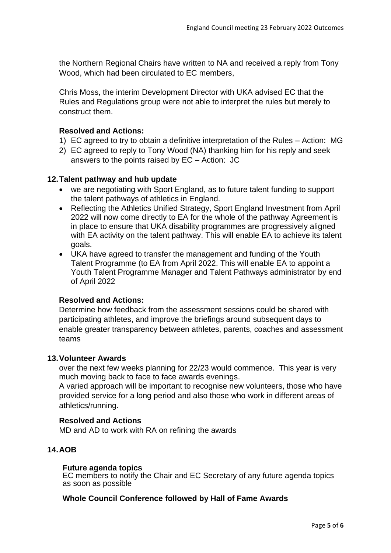the Northern Regional Chairs have written to NA and received a reply from Tony Wood, which had been circulated to EC members,

Chris Moss, the interim Development Director with UKA advised EC that the Rules and Regulations group were not able to interpret the rules but merely to construct them.

# **Resolved and Actions:**

- 1) EC agreed to try to obtain a definitive interpretation of the Rules Action: MG
- 2) EC agreed to reply to Tony Wood (NA) thanking him for his reply and seek answers to the points raised by EC – Action: JC

## **12.Talent pathway and hub update**

- we are negotiating with Sport England, as to future talent funding to support the talent pathways of athletics in England.
- Reflecting the Athletics Unified Strategy, Sport England Investment from April 2022 will now come directly to EA for the whole of the pathway Agreement is in place to ensure that UKA disability programmes are progressively aligned with EA activity on the talent pathway. This will enable EA to achieve its talent goals.
- UKA have agreed to transfer the management and funding of the Youth Talent Programme (to EA from April 2022. This will enable EA to appoint a Youth Talent Programme Manager and Talent Pathways administrator by end of April 2022

## **Resolved and Actions:**

Determine how feedback from the assessment sessions could be shared with participating athletes, and improve the briefings around subsequent days to enable greater transparency between athletes, parents, coaches and assessment teams

#### **13.Volunteer Awards**

over the next few weeks planning for 22/23 would commence. This year is very much moving back to face to face awards evenings.

A varied approach will be important to recognise new volunteers, those who have provided service for a long period and also those who work in different areas of athletics/running.

#### **Resolved and Actions**

MD and AD to work with RA on refining the awards

# **14.AOB**

#### **Future agenda topics**

EC members to notify the Chair and EC Secretary of any future agenda topics as soon as possible

#### **Whole Council Conference followed by Hall of Fame Awards**